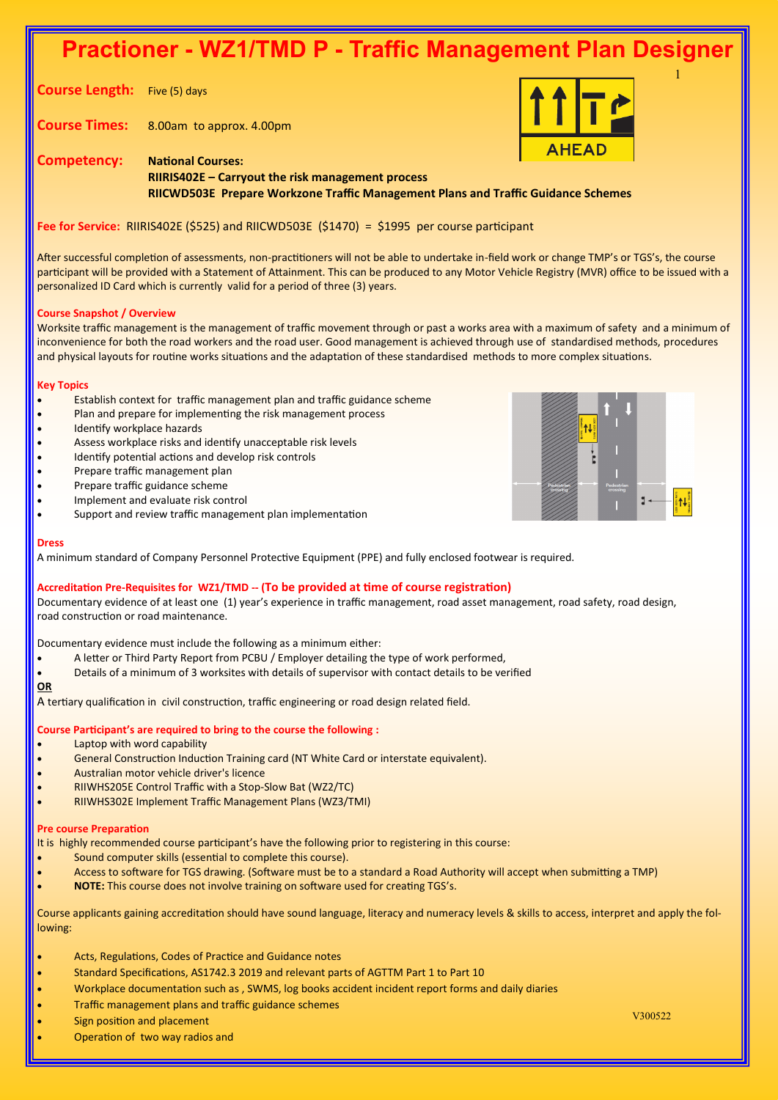# **Practioner - WZ1/TMD P - Traffic Management Plan Designer**

**Course Length:** Five (5) days

**Course Times:** 8.00am to approx. 4.00pm



1

**Competency: National Courses: RIIRIS402E – Carryout the risk management process RIICWD503E Prepare Workzone Traffic Management Plans and Traffic Guidance Schemes**

**Fee for Service:** RIIRIS402E (\$525) and RIICWD503E (\$1470) = \$1995 per course participant

After successful completion of assessments, non-practitioners will not be able to undertake in-field work or change TMP's or TGS's, the course participant will be provided with a Statement of Attainment. This can be produced to any Motor Vehicle Registry (MVR) office to be issued with a personalized ID Card which is currently valid for a period of three (3) years.

# **Course Snapshot / Overview**

Worksite traffic management is the management of traffic movement through or past a works area with a maximum of safety and a minimum of inconvenience for both the road workers and the road user. Good management is achieved through use of standardised methods, procedures and physical layouts for routine works situations and the adaptation of these standardised methods to more complex situations.

## **Key Topics**

- Establish context for traffic management plan and traffic guidance scheme
- Plan and prepare for implementing the risk management process
- Identify workplace hazards
- Assess workplace risks and identify unacceptable risk levels
- Identify potential actions and develop risk controls
- Prepare traffic management plan
- Prepare traffic guidance scheme
- Implement and evaluate risk control
- Support and review traffic management plan implementation

## **Dress**

A minimum standard of Company Personnel Protective Equipment (PPE) and fully enclosed footwear is required.

# **Accreditation Pre-Requisites for WZ1/TMD -- (To be provided at time of course registration)**

Documentary evidence of at least one (1) year's experience in traffic management, road asset management, road safety, road design, road construction or road maintenance.

Documentary evidence must include the following as a minimum either:

- A letter or Third Party Report from PCBU / Employer detailing the type of work performed,
- Details of a minimum of 3 worksites with details of supervisor with contact details to be verified

## **OR**

A tertiary qualification in civil construction, traffic engineering or road design related field.

# **Course Participant's are required to bring to the course the following :**

- Laptop with word capability
- General Construction Induction Training card (NT White Card or interstate equivalent).
- Australian motor vehicle driver's licence
- RIIWHS205E Control Traffic with a Stop-Slow Bat (WZ2/TC)
- RIIWHS302E Implement Traffic Management Plans (WZ3/TMI)

# **Pre course Preparation**

It is highly recommended course participant's have the following prior to registering in this course:

- Sound computer skills (essential to complete this course).
- Access to software for TGS drawing. (Software must be to a standard a Road Authority will accept when submitting a TMP)
- **NOTE:** This course does not involve training on software used for creating TGS's.

Course applicants gaining accreditation should have sound language, literacy and numeracy levels & skills to access, interpret and apply the following:

- Acts, Regulations, Codes of Practice and Guidance notes
- Standard Specifications, AS1742.3 2019 and relevant parts of AGTTM Part 1 to Part 10
- Workplace documentation such as , SWMS, log books accident incident report forms and daily diaries
- Traffic management plans and traffic guidance schemes
- V300522 Sign position and placement
- Operation of two way radios and

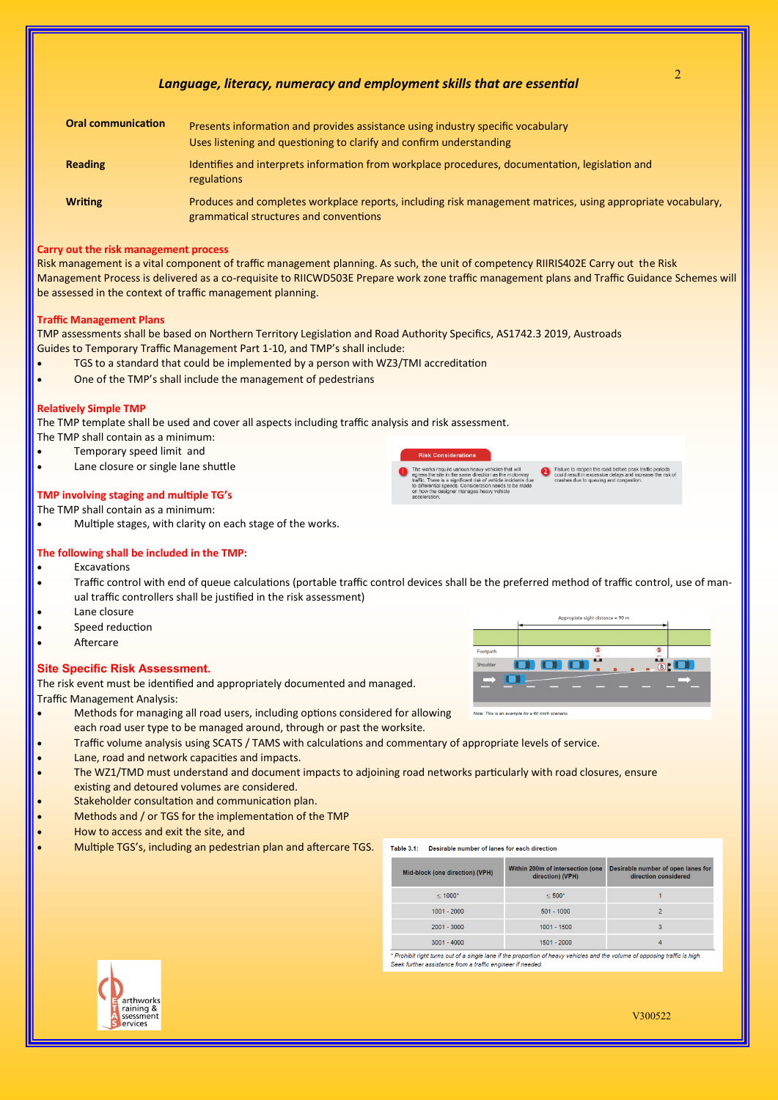# *Language, literacy, numeracy and employment skills that are essential*

| <b>Oral communication</b> | Presents information and provides assistance using industry specific vocabulary<br>Uses listening and questioning to clarify and confirm understanding |
|---------------------------|--------------------------------------------------------------------------------------------------------------------------------------------------------|
| <b>Reading</b>            | Identifies and interprets information from workplace procedures, documentation, legislation and<br>regulations                                         |
| <b>Writing</b>            | Produces and completes workplace reports, including risk management matrices, using appropriate vocabulary,<br>grammatical structures and conventions  |

## **Carry out the risk management process**

Risk management is a vital component of traffic management planning. As such, the unit of competency RIIRIS402E Carry out the Risk Management Process is delivered as a co-requisite to RIICWD503E Prepare work zone traffic management plans and Traffic Guidance Schemes will be assessed in the context of traffic management planning.

## **Traffic Management Plans**

TMP assessments shall be based on Northern Territory Legislation and Road Authority Specifics, AS1742.3 2019, Austroads Guides to Temporary Traffic Management Part 1-10, and TMP's shall include:

- TGS to a standard that could be implemented by a person with WZ3/TMI accreditation
- One of the TMP's shall include the management of pedestrians

#### **Relatively Simple TMP**

The TMP template shall be used and cover all aspects including traffic analysis and risk assessment.

The TMP shall contain as a minimum:

- Temporary speed limit and
- Lane closure or single lane shuttle

## **TMP involving staging and multiple TG's**

The TMP shall contain as a minimum:

• Multiple stages, with clarity on each stage of the works.

#### **The following shall be included in the TMP:**

- **Excavations**
- Traffic control with end of queue calculations (portable traffic control devices shall be the preferred method of traffic control, use of manual traffic controllers shall be justified in the risk assessment)
- Lane closure
- Speed reduction
- **Aftercare**

#### **Site Specific Risk Assessment.**

The risk event must be identified and appropriately documented and managed. Traffic Management Analysis:

- Methods for managing all road users, including options considered for allowing each road user type to be managed around, through or past the worksite.
- Traffic volume analysis using SCATS / TAMS with calculations and commentary of appropriate levels of service.
- Lane, road and network capacities and impacts.
- The WZ1/TMD must understand and document impacts to adjoining road networks particularly with road closures, ensure existing and detoured volumes are considered.
- Stakeholder consultation and communication plan.
- Methods and / or TGS for the implementation of the TMP
- How to access and exit the site, and
- Multiple TGS's, including an pedestrian plan and aftercare TGS.

| Shoulder |                                                  | $\bullet$ | (8)<br><b>Canadian</b> |  |
|----------|--------------------------------------------------|-----------|------------------------|--|
|          |                                                  |           |                        |  |
|          |                                                  |           |                        |  |
|          |                                                  |           |                        |  |
|          | Note: This is an example for a 60 km/h scenario. |           |                        |  |
|          |                                                  |           |                        |  |
|          |                                                  |           |                        |  |

uire various heavy vehicles that will<br>in the same direction as the motorway<br>a significant risk of vehicle incidents<br>speeds. Consideration needs to be ma<br>signer manages heavy vehicle

| Mid-block (one direction) (VPH)                                                                                             | Within 200m of intersection (one<br>direction) (VPH) | Desirable number of open lanes for<br>direction considered |  |  |  |
|-----------------------------------------------------------------------------------------------------------------------------|------------------------------------------------------|------------------------------------------------------------|--|--|--|
| $< 1000*$                                                                                                                   | $< 500*$                                             |                                                            |  |  |  |
| $1001 - 2000$                                                                                                               | $501 - 1000$                                         |                                                            |  |  |  |
| $2001 - 3000$                                                                                                               | 1001 - 1500                                          | 3                                                          |  |  |  |
| $3001 - 4000$                                                                                                               | $1501 - 2000$                                        | 4                                                          |  |  |  |
| * Prohibit right turns out of a single lane if the proportion of heavy vehicles and the volume of opposing traffic is high. |                                                      |                                                            |  |  |  |

Seek further assistance from a traffic engineer if needed.





2